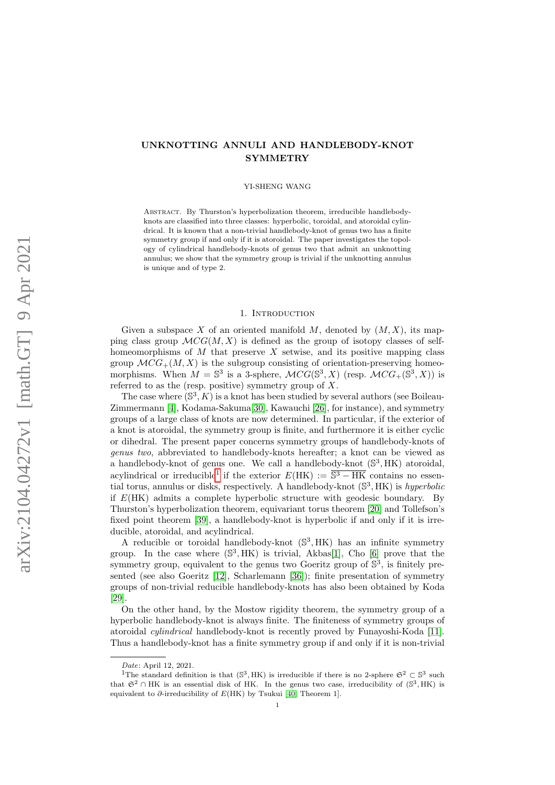# UNKNOTTING ANNULI AND HANDLEBODY-KNOT SYMMETRY

### YI-SHENG WANG

Abstract. By Thurston's hyperbolization theorem, irreducible handlebodyknots are classified into three classes: hyperbolic, toroidal, and atoroidal cylindrical. It is known that a non-trivial handlebody-knot of genus two has a finite symmetry group if and only if it is atoroidal. The paper investigates the topology of cylindrical handlebody-knots of genus two that admit an unknotting annulus; we show that the symmetry group is trivial if the unknotting annulus is unique and of type 2.

## 1. INTRODUCTION

Given a subspace X of an oriented manifold M, denoted by  $(M, X)$ , its mapping class group  $\mathcal{M}CG(M,X)$  is defined as the group of isotopy classes of selfhomeomorphisms of  $M$  that preserve  $X$  setwise, and its positive mapping class group  $\mathcal{M}CG_{+}(M, X)$  is the subgroup consisting of orientation-preserving homeomorphisms. When  $M = \mathbb{S}^3$  is a 3-sphere,  $\mathcal{M}CG(\mathbb{S}^3, X)$  (resp.  $\mathcal{M}CG_+(\mathbb{S}^3, X)$ ) is referred to as the (resp. positive) symmetry group of X.

The case where  $(S^3, K)$  is a knot has been studied by several authors (see Boileau-Zimmermann [\[4\]](#page-10-0), Kodama-Sakuma[\[30\]](#page-11-0), Kawauchi [\[26\]](#page-11-1), for instance), and symmetry groups of a large class of knots are now determined. In particular, if the exterior of a knot is atoroidal, the symmetry group is finite, and furthermore it is either cyclic or dihedral. The present paper concerns symmetry groups of handlebody-knots of genus two, abbreviated to handlebody-knots hereafter; a knot can be viewed as a handlebody-knot of genus one. We call a handlebody-knot  $(\mathbb{S}^3, HK)$  atoroidal, acylindrical or irreducible<sup>[1](#page-0-0)</sup> if the exterior  $E(HK) := \overline{\mathbb{S}^3 - HK}$  contains no essential torus, annulus or disks, respectively. A handlebody-knot  $(\mathbb{S}^3, HK)$  is *hyperbolic* if  $E(HK)$  admits a complete hyperbolic structure with geodesic boundary. By Thurston's hyperbolization theorem, equivariant torus theorem [\[20\]](#page-11-2) and Tollefson's fixed point theorem [\[39\]](#page-11-3), a handlebody-knot is hyperbolic if and only if it is irreducible, atoroidal, and acylindrical.

A reducible or toroidal handlebody-knot  $(\mathbb{S}^3, HK)$  has an infinite symmetry group. In the case where  $(\mathbb{S}^3, HK)$  is trivial, Akbas[\[1\]](#page-10-1), Cho [\[6\]](#page-10-2) prove that the symmetry group, equivalent to the genus two Goeritz group of  $\mathbb{S}^3$ , is finitely presented (see also Goeritz [\[12\]](#page-11-4), Scharlemann [\[36\]](#page-11-5)); finite presentation of symmetry groups of non-trivial reducible handlebody-knots has also been obtained by Koda [\[29\]](#page-11-6).

On the other hand, by the Mostow rigidity theorem, the symmetry group of a hyperbolic handlebody-knot is always finite. The finiteness of symmetry groups of atoroidal cylindrical handlebody-knot is recently proved by Funayoshi-Koda [\[11\]](#page-11-7). Thus a handlebody-knot has a finite symmetry group if and only if it is non-trivial

<span id="page-0-0"></span>Date: April 12, 2021.

<sup>&</sup>lt;sup>1</sup>The standard definition is that  $(\mathbb{S}^3, HK)$  is irreducible if there is no 2-sphere  $\mathfrak{S}^2 \subset \mathbb{S}^3$  such that  $\mathfrak{S}^2 \cap \mathfrak{H}$ K is an essential disk of HK. In the genus two case, irreducibility of  $(\mathbb{S}^3, \mathfrak{H}$ K) is equivalent to  $\partial$ -irreducibility of  $E(HK)$  by Tsukui [\[40,](#page-11-8) Theorem 1].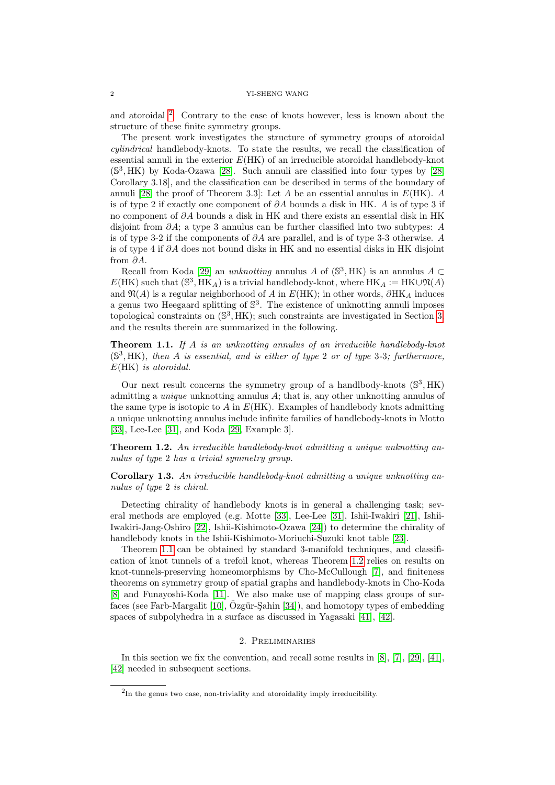and atoroidal [2](#page-1-0) . Contrary to the case of knots however, less is known about the structure of these finite symmetry groups.

The present work investigates the structure of symmetry groups of atoroidal cylindrical handlebody-knots. To state the results, we recall the classification of essential annuli in the exterior  $E(HK)$  of an irreducible atoroidal handlebody-knot (S 3 , HK) by Koda-Ozawa [\[28\]](#page-11-9). Such annuli are classified into four types by [\[28,](#page-11-9) Corollary 3.18], and the classification can be described in terms of the boundary of annuli [\[28,](#page-11-9) the proof of Theorem 3.3]: Let A be an essential annulus in  $E(HK)$ . A is of type 2 if exactly one component of  $\partial A$  bounds a disk in HK. A is of type 3 if no component of ∂A bounds a disk in HK and there exists an essential disk in HK disjoint from  $\partial A$ ; a type 3 annulus can be further classified into two subtypes: A is of type 3-2 if the components of  $\partial A$  are parallel, and is of type 3-3 otherwise. A is of type 4 if ∂A does not bound disks in HK and no essential disks in HK disjoint from ∂A.

Recall from Koda [\[29\]](#page-11-6) an *unknotting* annulus A of  $(S^3, HK)$  is an annulus A  $\subset$  $E(HK)$  such that  $(\mathbb{S}^3, \overline{HK}_A)$  is a trivial handlebody-knot, where  $HK_A := HK \cup \mathfrak{N}(A)$ and  $\mathfrak{N}(A)$  is a regular neighborhood of A in  $E(HK)$ ; in other words,  $\partial HK_A$  induces a genus two Heegaard splitting of  $\mathbb{S}^3$ . The existence of unknotting annuli imposes topological constraints on  $(\mathbb{S}^3, HK)$ ; such constraints are investigated in Section [3,](#page-4-0) and the results therein are summarized in the following.

<span id="page-1-1"></span>**Theorem 1.1.** If A is an unknotting annulus of an irreducible handlebody-knot  $(S^3, HK)$ , then A is essential, and is either of type 2 or of type 3-3; furthermore, E(HK) is atoroidal.

Our next result concerns the symmetry group of a handlbody-knots  $(\mathbb{S}^3, HK)$ admitting a unique unknotting annulus A; that is, any other unknotting annulus of the same type is isotopic to A in  $E(HK)$ . Examples of handlebody knots admitting a unique unknotting annulus include infinite families of handlebody-knots in Motto [\[33\]](#page-11-10), Lee-Lee [\[31\]](#page-11-11), and Koda [\[29,](#page-11-6) Example 3].

<span id="page-1-2"></span>Theorem 1.2. An irreducible handlebody-knot admitting a unique unknotting annulus of type 2 has a trivial symmetry group.

Corollary 1.3. An irreducible handlebody-knot admitting a unique unknotting annulus of type 2 is chiral.

Detecting chirality of handlebody knots is in general a challenging task; several methods are employed (e.g. Motte [\[33\]](#page-11-10), Lee-Lee [\[31\]](#page-11-11), Ishii-Iwakiri [\[21\]](#page-11-12), Ishii-Iwakiri-Jang-Oshiro [\[22\]](#page-11-13), Ishii-Kishimoto-Ozawa [\[24\]](#page-11-14)) to determine the chirality of handlebody knots in the Ishii-Kishimoto-Moriuchi-Suzuki knot table [\[23\]](#page-11-15).

Theorem [1.1](#page-1-1) can be obtained by standard 3-manifold techniques, and classification of knot tunnels of a trefoil knot, whereas Theorem [1.2](#page-1-2) relies on results on knot-tunnels-preserving homeomorphisms by Cho-McCullough [\[7\]](#page-10-3), and finiteness theorems on symmetry group of spatial graphs and handlebody-knots in Cho-Koda [\[8\]](#page-10-4) and Funayoshi-Koda [\[11\]](#page-11-7). We also make use of mapping class groups of surfaces (see Farb-Margalit  $[10]$ ,  $\ddot{O}z$ gür-Şahin  $[34]$ ), and homotopy types of embedding spaces of subpolyhedra in a surface as discussed in Yagasaki [\[41\]](#page-11-17), [\[42\]](#page-11-18).

# 2. Preliminaries

In this section we fix the convention, and recall some results in [\[8\]](#page-10-4), [\[7\]](#page-10-3), [\[29\]](#page-11-6), [\[41\]](#page-11-17), [\[42\]](#page-11-18) needed in subsequent sections.

<span id="page-1-0"></span><sup>&</sup>lt;sup>2</sup>In the genus two case, non-triviality and atoroidality imply irreducibility.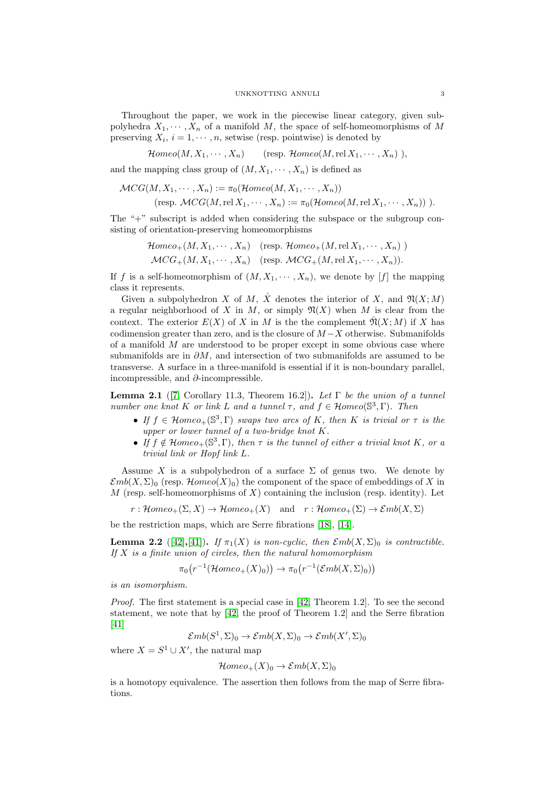Throughout the paper, we work in the piecewise linear category, given subpolyhedra  $X_1, \dots, X_n$  of a manifold M, the space of self-homeomorphisms of M preserving  $X_i$ ,  $i = 1, \dots, n$ , setwise (resp. pointwise) is denoted by

 $\mathcal{H}omeo(M, X_1, \cdots, X_n)$  (resp.  $\mathcal{H}omeo(M, \text{rel } X_1, \cdots, X_n)$ ),

and the mapping class group of  $(M, X_1, \dots, X_n)$  is defined as

$$
\mathcal{MCG}(M, X_1, \cdots, X_n) := \pi_0(\mathcal{H}omeo(M, X_1, \cdots, X_n))
$$
  
(resp. 
$$
\mathcal{M}CG(M, \text{rel } X_1, \cdots, X_n) := \pi_0(\mathcal{H}omeo(M, \text{rel } X_1, \cdots, X_n)) ).
$$

The "+" subscript is added when considering the subspace or the subgroup consisting of orientation-preserving homeomorphisms

$$
\mathcal{H}omeo_{+}(M, X_{1}, \cdots, X_{n}) \quad \text{(resp. } \mathcal{H}omeo_{+}(M, \text{rel } X_{1}, \cdots, X_{n}) \text{ )}
$$
\n
$$
\mathcal{M}CG_{+}(M, X_{1}, \cdots, X_{n}) \quad \text{(resp. } \mathcal{M}CG_{+}(M, \text{rel } X_{1}, \cdots, X_{n})).
$$

If f is a self-homeomorphism of  $(M, X_1, \dots, X_n)$ , we denote by [f] the mapping class it represents.

Given a subpolyhedron X of M,  $\mathring{X}$  denotes the interior of X, and  $\mathfrak{N}(X;M)$ a regular neighborhood of X in M, or simply  $\mathfrak{N}(X)$  when M is clear from the context. The exterior  $E(X)$  of X in M is the the complement  $\mathfrak{N}(X;M)$  if X has codimension greater than zero, and is the closure of  $M-X$  otherwise. Submanifolds of a manifold  $M$  are understood to be proper except in some obvious case where submanifolds are in  $\partial M$ , and intersection of two submanifolds are assumed to be transverse. A surface in a three-manifold is essential if it is non-boundary parallel, incompressible, and  $\partial$ -incompressible.

<span id="page-2-0"></span>Lemma 2.1 ([\[7,](#page-10-3) Corollary 11.3, Theorem 16.2]). Let  $\Gamma$  be the union of a tunnel number one knot K or link L and a tunnel  $\tau$ , and  $f \in \mathcal{H}omeo(\mathbb{S}^3,\Gamma)$ . Then

- If  $f \in \mathcal{H}omeo_+(\mathbb{S}^3,\Gamma)$  swaps two arcs of K, then K is trivial or  $\tau$  is the upper or lower tunnel of a two-bridge knot K.
- If  $f \notin \mathcal{H}omeo_+(\mathbb{S}^3,\Gamma)$ , then  $\tau$  is the tunnel of either a trivial knot K, or a trivial link or Hopf link L.

Assume X is a subpolyhedron of a surface  $\Sigma$  of genus two. We denote by  $\mathcal{E}mb(X,\Sigma)$ <sub>0</sub> (resp.  $\mathcal{H}omeo(X)$ <sub>0</sub>) the component of the space of embeddings of X in  $M$  (resp. self-homeomorphisms of  $X$ ) containing the inclusion (resp. identity). Let

$$
r: \mathcal{H}omeo_+(\Sigma, X) \to \mathcal{H}omeo_+(X)
$$
 and  $r: \mathcal{H}omeo_+(\Sigma) \to \mathcal{E}mb(X, \Sigma)$ 

be the restriction maps, which are Serre fibrations [\[18\]](#page-11-19), [\[14\]](#page-11-20).

<span id="page-2-1"></span>**Lemma 2.2** ([\[42\]](#page-11-18),[\[41\]](#page-11-17)). If  $\pi_1(X)$  is non-cyclic, then  $\mathcal{E}mb(X, \Sigma)$ <sub>0</sub> is contractible. If  $X$  is a finite union of circles, then the natural homomorphism

$$
\pi_0(r^{-1}(\mathcal{H}omeo_+(X)_0)) \to \pi_0(r^{-1}(\mathcal{E}mb(X,\Sigma)_0))
$$

is an isomorphism.

Proof. The first statement is a special case in [\[42,](#page-11-18) Theorem 1.2]. To see the second statement, we note that by [\[42,](#page-11-18) the proof of Theorem 1.2] and the Serre fibration [\[41\]](#page-11-17)

$$
\mathcal{E}mb(S^1,\Sigma)_0 \to \mathcal{E}mb(X,\Sigma)_0 \to \mathcal{E}mb(X',\Sigma)_0
$$

where  $X = S^1 \cup X'$ , the natural map

$$
\mathcal{H}omeo_{+}(X)_{0}\to \mathcal{E}mb(X,\Sigma)_{0}
$$

is a homotopy equivalence. The assertion then follows from the map of Serre fibrations.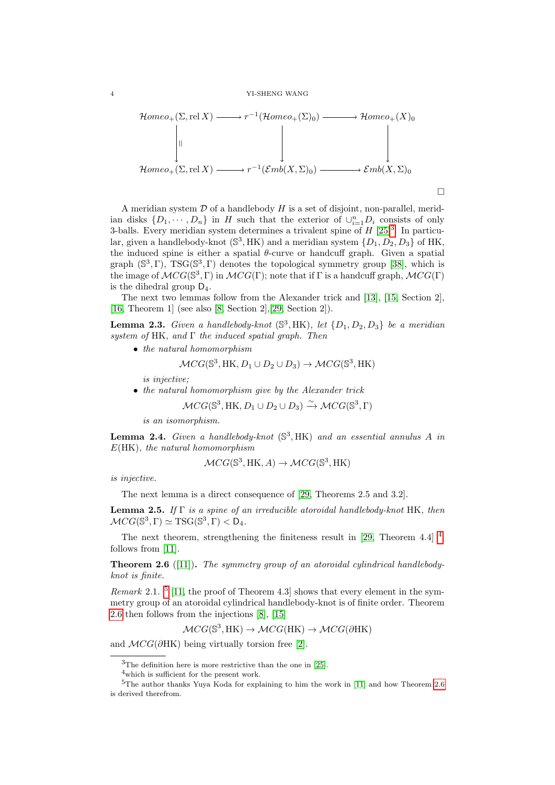$$
\mathcal{H}omeo_{+}(\Sigma, \text{rel } X) \longrightarrow r^{-1}(\mathcal{H}omeo_{+}(\Sigma)_{0}) \longrightarrow \mathcal{H}omeo_{+}(X)_{0}
$$
\n
$$
\downarrow \qquad \qquad \downarrow \qquad \qquad \downarrow
$$
\n
$$
\mathcal{H}omeo_{+}(\Sigma, \text{rel } X) \longrightarrow r^{-1}(\mathcal{E}mb(X, \Sigma)_{0}) \longrightarrow \mathcal{E}mb(X, \Sigma)_{0}
$$

 $\Box$ 

A meridian system  $D$  of a handlebody  $H$  is a set of disjoint, non-parallel, meridian disks  $\{D_1, \dots, D_n\}$  in H such that the exterior of  $\cup_{i=1}^n D_i$  consists of only [3](#page-3-0)-balls. Every meridian system determines a trivalent spine of  $H$  [\[25\]](#page-11-21)<sup>3</sup>. In particular, given a handlebody-knot  $(\mathbb{S}^3, HK)$  and a meridian system  $\{D_1, D_2, D_3\}$  of HK, the induced spine is either a spatial  $\theta$ -curve or handcuff graph. Given a spatial graph  $(\mathbb{S}^3, \Gamma)$ , TSG( $\mathbb{S}^3, \Gamma$ ) denotes the topological symmetry group [\[38\]](#page-11-22), which is the image of  $\mathcal{M}CG(\mathbb{S}^3,\Gamma)$  in  $\mathcal{M}CG(\Gamma)$ ; note that if  $\Gamma$  is a handcuff graph,  $\mathcal{M}CG(\Gamma)$ is the dihedral group  $D_4$ .

The next two lemmas follow from the Alexander trick and [\[13\]](#page-11-23), [\[15,](#page-11-24) Section 2], [\[16,](#page-11-25) Theorem 1] (see also [\[8,](#page-10-4) Section 2],[\[29,](#page-11-6) Section 2]).

<span id="page-3-6"></span>**Lemma 2.3.** Given a handlebody-knot  $(\mathbb{S}^3, HK)$ , let  $\{D_1, D_2, D_3\}$  be a meridian system of HK, and  $\Gamma$  the induced spatial graph. Then

• the natural homomorphism

$$
\mathcal{M}CG(\mathbb{S}^3, \text{HK}, D_1 \cup D_2 \cup D_3) \to \mathcal{M}CG(\mathbb{S}^3, \text{HK})
$$

is injective;

• the natural homomorphism give by the Alexander trick

$$
\mathcal{M}CG(\mathbb{S}^3, \text{HK}, D_1 \cup D_2 \cup D_3) \xrightarrow{\sim} \mathcal{M}CG(\mathbb{S}^3, \Gamma)
$$

is an isomorphism.

<span id="page-3-4"></span>**Lemma 2.4.** Given a handlebody-knot  $(\mathbb{S}^3, HK)$  and an essential annulus A in  $E(HK)$ , the natural homomorphism

$$
\mathcal{M}CG(\mathbb{S}^3, \text{HK}, A) \to \mathcal{M}CG(\mathbb{S}^3, \text{HK})
$$

is injective.

The next lemma is a direct consequence of [\[29,](#page-11-6) Theorems 2.5 and 3.2].

<span id="page-3-5"></span>**Lemma 2.5.** If  $\Gamma$  is a spine of an irreducible atoroidal handlebody-knot HK, then  $\mathcal{M}CG(\mathbb{S}^3,\Gamma) \simeq \mathrm{TSG}(\mathbb{S}^3,\Gamma) < \mathcal{D}_4.$ 

The next theorem, strengthening the finiteness result in  $[29,$  Theorem [4](#page-3-1).4 $]$ <sup>4</sup>, follows from [\[11\]](#page-11-7).

<span id="page-3-3"></span>**Theorem 2.6** ([\[11\]](#page-11-7)). The symmetry group of an atoroidal cylindrical handlebodyknot is finite.

*Remark* 2.1. <sup>[5](#page-3-2)</sup> [\[11,](#page-11-7) the proof of Theorem 4.3] shows that every element in the symmetry group of an atoroidal cylindrical handlebody-knot is of finite order. Theorem [2.6](#page-3-3) then follows from the injections [\[8\]](#page-10-4), [\[15\]](#page-11-24)

$$
\mathcal{M}CG(\mathbb{S}^3, \text{HK}) \to \mathcal{M}CG(\text{HK}) \to \mathcal{M}CG(\partial \text{HK})
$$

and  $\mathcal{M}CG(\partial \text{HK})$  being virtually torsion free [\[2\]](#page-10-6).

<span id="page-3-0"></span> $3$ The definition here is more restrictive than the one in [\[25\]](#page-11-21).

<span id="page-3-2"></span><span id="page-3-1"></span><sup>4</sup>which is sufficient for the present work.

 $5$ The author thanks Yuya Koda for explaining to him the work in [\[11\]](#page-11-7) and how Theorem [2.6](#page-3-3) is derived therefrom.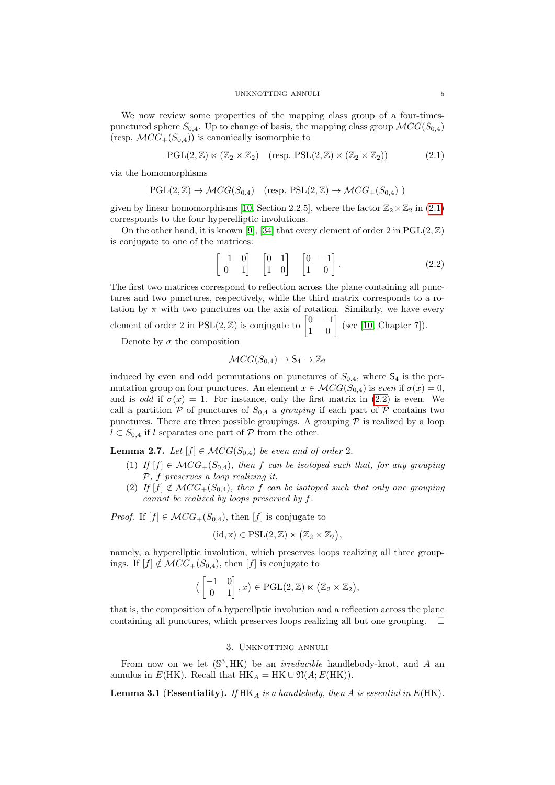We now review some properties of the mapping class group of a four-timespunctured sphere  $S_{0,4}$ . Up to change of basis, the mapping class group  $\mathcal{M}CG(S_{0,4})$ (resp.  $\mathcal{M}CG_{+}(S_{0,4})$ ) is canonically isomorphic to

<span id="page-4-1"></span>
$$
\mathrm{PGL}(2,\mathbb{Z}) \ltimes (\mathbb{Z}_2 \times \mathbb{Z}_2) \quad (\text{resp.} \ \mathrm{PSL}(2,\mathbb{Z}) \ltimes (\mathbb{Z}_2 \times \mathbb{Z}_2)) \tag{2.1}
$$

via the homomorphisms

$$
\mathrm{PGL}(2,\mathbb{Z}) \to \mathcal{M}CG(S_{0.4}) \quad (\text{resp.} \ \mathrm{PSL}(2,\mathbb{Z}) \to \mathcal{M}CG_+(S_{0,4}) )
$$

given by linear homomorphisms [\[10,](#page-10-5) Section 2.2.5], where the factor  $\mathbb{Z}_2\times\mathbb{Z}_2$  in [\(2.1\)](#page-4-1) corresponds to the four hyperelliptic involutions.

On the other hand, it is known [\[9\]](#page-10-7), [\[34\]](#page-11-16) that every element of order 2 in  $PGL(2,\mathbb{Z})$ is conjugate to one of the matrices:

<span id="page-4-2"></span>
$$
\begin{bmatrix} -1 & 0 \\ 0 & 1 \end{bmatrix} \quad \begin{bmatrix} 0 & 1 \\ 1 & 0 \end{bmatrix} \quad \begin{bmatrix} 0 & -1 \\ 1 & 0 \end{bmatrix} . \tag{2.2}
$$

The first two matrices correspond to reflection across the plane containing all punctures and two punctures, respectively, while the third matrix corresponds to a rotation by  $\pi$  with two punctures on the axis of rotation. Similarly, we have every element of order 2 in  $PSL(2, \mathbb{Z})$  is conjugate to  $\begin{bmatrix} 0 & -1 \\ 1 & 0 \end{bmatrix}$  (see [\[10,](#page-10-5) Chapter 7]).

Denote by  $\sigma$  the composition

$$
\mathcal{M}CG(S_{0,4}) \to S_4 \to \mathbb{Z}_2
$$

induced by even and odd permutations on punctures of  $S_{0,4}$ , where  $\mathsf{S}_4$  is the permutation group on four punctures. An element  $x \in \mathcal{MCG}(S_{0,4})$  is even if  $\sigma(x) = 0$ , and is *odd* if  $\sigma(x) = 1$ . For instance, only the first matrix in [\(2.2\)](#page-4-2) is even. We call a partition P of punctures of  $S_{0,4}$  a grouping if each part of P contains two punctures. There are three possible groupings. A grouping  $P$  is realized by a loop  $l$  ⊂  $S_{0,4}$  if l separates one part of  $P$  from the other.

<span id="page-4-4"></span>**Lemma 2.7.** Let  $[f] \in MCG(S_{0,4})$  be even and of order 2.

- (1) If  $[f] \in MCG_+(S_{0,4})$ , then f can be isotoped such that, for any grouping P, f preserves a loop realizing it.
- (2) If  $[f] \notin MCG_+(S_{0,4})$ , then f can be isotoped such that only one grouping cannot be realized by loops preserved by f.

*Proof.* If  $[f] \in \mathcal{M}CG_+(S_{0,4})$ , then  $[f]$  is conjugate to

$$
(id, x) \in PSL(2, \mathbb{Z}) \ltimes (\mathbb{Z}_2 \times \mathbb{Z}_2),
$$

namely, a hyperellptic involution, which preserves loops realizing all three groupings. If  $[f] \notin MCG_+(S_{0,4}),$  then  $[f]$  is conjugate to

$$
\left(\begin{bmatrix} -1 & 0 \\ 0 & 1 \end{bmatrix}, x\right) \in \mathrm{PGL}(2, \mathbb{Z}) \ltimes \left(\mathbb{Z}_2 \times \mathbb{Z}_2\right),
$$

that is, the composition of a hyperellptic involution and a reflection across the plane containing all punctures, which preserves loops realizing all but one grouping.  $\Box$ 

# 3. Unknotting annuli

<span id="page-4-0"></span>From now on we let  $(S^3, HK)$  be an *irreducible* handlebody-knot, and A an annulus in  $E(HK)$ . Recall that  $HK_A = HK \cup \mathfrak{N}(A; E(HK))$ .

<span id="page-4-3"></span>**Lemma 3.1** (Essentiality). If  $HK_A$  is a handlebody, then A is essential in  $E(HK)$ .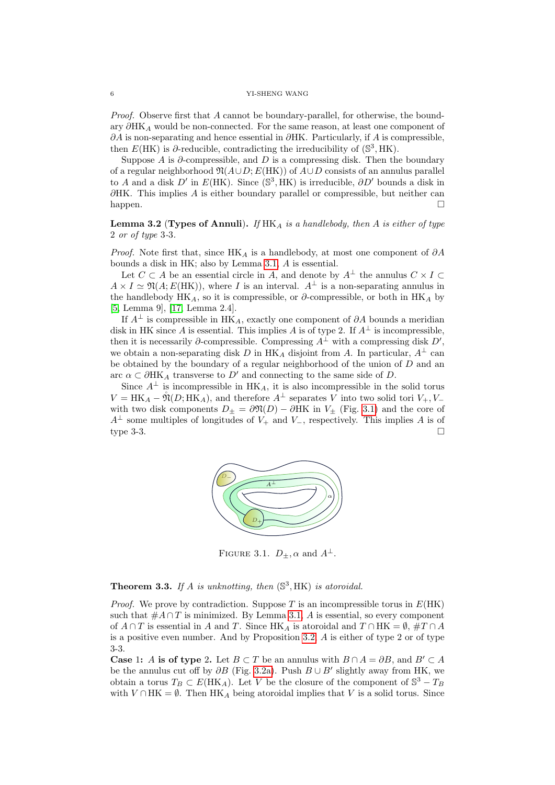Proof. Observe first that A cannot be boundary-parallel, for otherwise, the boundary  $\partial H K_A$  would be non-connected. For the same reason, at least one component of  $\partial A$  is non-separating and hence essential in  $\partial HK$ . Particularly, if A is compressible. then  $E(HK)$  is  $\partial$ -reducible, contradicting the irreducibility of  $(\mathbb{S}^3, HK)$ .

Suppose A is  $\partial$ -compressible, and D is a compressing disk. Then the boundary of a regular neighborhood  $\mathfrak{N}(A\cup D; E(HK))$  of  $A\cup D$  consists of an annulus parallel to A and a disk D' in  $E(HK)$ . Since  $(S^3, HK)$  is irreducible,  $\partial D'$  bounds a disk in  $\partial H K$ . This implies A is either boundary parallel or compressible, but neither can happen.

<span id="page-5-1"></span>**Lemma 3.2** (Types of Annuli). If  $HK_A$  is a handlebody, then A is either of type 2 or of type 3-3.

*Proof.* Note first that, since HK<sub>A</sub> is a handlebody, at most one component of  $\partial A$ bounds a disk in HK; also by Lemma [3.1,](#page-4-3) A is essential.

Let  $C \subset A$  be an essential circle in A, and denote by  $A^{\perp}$  the annulus  $C \times I \subset$  $A \times I \simeq \mathfrak{N}(A; E(HK))$ , where I is an interval.  $A^{\perp}$  is a non-separating annulus in the handlebody HK<sub>A</sub>, so it is compressible, or  $\partial$ -compressible, or both in HK<sub>A</sub> by [\[5,](#page-10-8) Lemma 9], [\[17,](#page-11-26) Lemma 2.4].

If  $A^{\perp}$  is compressible in HK<sub>A</sub>, exactly one component of ∂A bounds a meridian disk in HK since A is essential. This implies A is of type 2. If  $A^{\perp}$  is incompressible, then it is necessarily  $\partial$ -compressible. Compressing  $A^{\perp}$  with a compressing disk  $D'$ , we obtain a non-separating disk D in HK<sub>A</sub> disjoint from A. In particular,  $A^{\perp}$  can be obtained by the boundary of a regular neighborhood of the union of  $D$  and an arc  $\alpha \subset \partial H K_A$  transverse to D' and connecting to the same side of D.

<span id="page-5-0"></span>Since  $A^{\perp}$  is incompressible in HK<sub>A</sub>, it is also incompressible in the solid torus  $V = HK_A - \tilde{\mathfrak{N}}(D; HK_A)$ , and therefore  $A^{\perp}$  separates V into two solid tori  $V_+, V_$ with two disk components  $D_{\pm} = \partial \mathfrak{N}(D) - \partial H K$  in  $V_{\pm}$  (Fig. [3.1\)](#page-5-0) and the core of  $A^{\perp}$  some multiples of longitudes of  $V_{+}$  and  $V_{-}$ , respectively. This implies A is of type 3-3.  $\Box$ 



FIGURE 3.1.  $D_{\pm}$ ,  $\alpha$  and  $A^{\perp}$ .

<span id="page-5-2"></span>**Theorem 3.3.** If A is unknotting, then  $(\mathbb{S}^3, HK)$  is atoroidal.

*Proof.* We prove by contradiction. Suppose T is an incompressible torus in  $E(HK)$ such that  $#A \cap T$  is minimized. By Lemma [3.1,](#page-4-3) A is essential, so every component of  $A \cap T$  is essential in A and T. Since HK<sub>A</sub> is atoroidal and  $T \cap HK = \emptyset$ ,  $\#T \cap A$ is a positive even number. And by Proposition [3.2,](#page-5-1)  $\tilde{A}$  is either of type 2 or of type 3-3.

**Case 1:** A is of type 2. Let  $B \subset T$  be an annulus with  $B \cap A = \partial B$ , and  $B' \subset A$ be the annulus cut off by  $\partial B$  (Fig. [3.2a\)](#page-6-0). Push  $B \cup B'$  slightly away from HK, we obtain a torus  $T_B \subset E(HK_A)$ . Let V be the closure of the component of  $\mathbb{S}^3 - T_B$ with  $V \cap HK = \emptyset$ . Then HK<sub>A</sub> being atoroidal implies that V is a solid torus. Since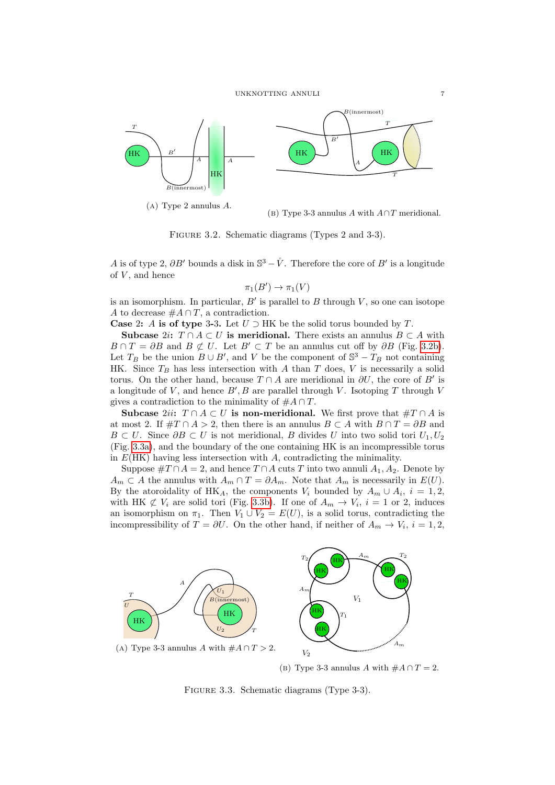<span id="page-6-0"></span>

(a) Type 2 annulus A.

(b) Type 3-3 annulus A with  $A \cap T$  meridional.

FIGURE 3.2. Schematic diagrams (Types 2 and 3-3).

A is of type 2,  $\partial B'$  bounds a disk in  $\mathbb{S}^3 - \mathring{V}$ . Therefore the core of  $B'$  is a longitude of  $V$ , and hence

$$
\pi_1(B') \to \pi_1(V)
$$

is an isomorphism. In particular,  $B'$  is parallel to  $B$  through  $V$ , so one can isotope A to decrease  $\#A \cap T$ , a contradiction.

Case 2: A is of type 3-3. Let  $U \supset HK$  be the solid torus bounded by T.

Subcase 2*i*:  $T \cap A \subset U$  is meridional. There exists an annulus  $B \subset A$  with  $B \cap T = \partial B$  and  $B \not\subset U$ . Let  $B' \subset T$  be an annulus cut off by  $\partial B$  (Fig. [3.2b\)](#page-6-0). Let  $T_B$  be the union  $B \cup B'$ , and V be the component of  $\mathbb{S}^3 - T_B$  not containing HK. Since  $T_B$  has less intersection with A than T does, V is necessarily a solid torus. On the other hand, because  $T \cap A$  are meridional in  $\partial U$ , the core of B' is a longitude of V, and hence  $B', B$  are parallel through V. Isotoping T through V gives a contradiction to the minimality of  $#A \cap T$ .

Subcase 2ii:  $T \cap A \subset U$  is non-meridional. We first prove that  $#T \cap A$  is at most 2. If  $\#T \cap A > 2$ , then there is an annulus  $B \subset A$  with  $B \cap T = \partial B$  and  $B \subset U$ . Since  $\partial B \subset U$  is not meridional, B divides U into two solid tori  $U_1, U_2$ (Fig. [3.3a\)](#page-6-1), and the boundary of the one containing HK is an incompressible torus in  $E(HK)$  having less intersection with A, contradicting the minimality.

Suppose  $\#T \cap A = 2$ , and hence  $T \cap A$  cuts T into two annuli  $A_1, A_2$ . Denote by  $A_m \subset A$  the annulus with  $A_m \cap T = \partial A_m$ . Note that  $A_m$  is necessarily in  $E(U)$ . By the atoroidality of HK<sub>A</sub>, the components  $V_i$  bounded by  $A_m \cup A_i$ ,  $i = 1, 2,$ with HK  $\not\subset V_i$  are solid tori (Fig. [3.3b\)](#page-6-1). If one of  $A_m \to V_i$ ,  $i = 1$  or 2, induces an isomorphism on  $\pi_1$ . Then  $V_1 \cup V_2 = E(U)$ , is a solid torus, contradicting the incompressibility of  $T = \partial U$ . On the other hand, if neither of  $A_m \to V_i$ ,  $i = 1, 2$ ,

<span id="page-6-1"></span>

(b) Type 3-3 annulus A with  $#A \cap T = 2$ .

FIGURE 3.3. Schematic diagrams (Type 3-3).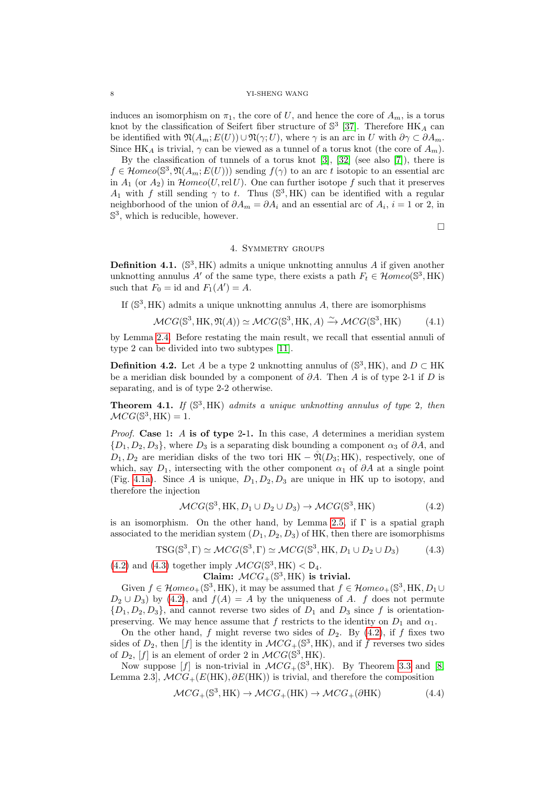induces an isomorphism on  $\pi_1$ , the core of U, and hence the core of  $A_m$ , is a torus knot by the classification of Seifert fiber structure of  $\mathbb{S}^3$  [\[37\]](#page-11-27). Therefore  $\mathrm{HK}_A$  can be identified with  $\mathfrak{N}(A_m; E(U)) \cup \mathfrak{N}(\gamma; U)$ , where  $\gamma$  is an arc in U with  $\partial \gamma \subset \partial A_m$ . Since HK<sub>A</sub> is trivial,  $\gamma$  can be viewed as a tunnel of a torus knot (the core of  $A_m$ ).

By the classification of tunnels of a torus knot [\[3\]](#page-10-9), [\[32\]](#page-11-28) (see also [\[7\]](#page-10-3)), there is  $f \in \mathcal{H}omeo(\mathbb{S}^3, \mathfrak{N}(A_m; E(U)))$  sending  $f(\gamma)$  to an arc t isotopic to an essential arc in  $A_1$  (or  $A_2$ ) in  $\mathcal{H}$ *omeo*(*U*, rel *U*). One can further isotope f such that it preserves A<sub>1</sub> with f still sending  $\gamma$  to t. Thus (S<sup>3</sup>, HK) can be identified with a regular neighborhood of the union of  $\partial A_m = \partial A_i$  and an essential arc of  $A_i$ ,  $i = 1$  or 2, in  $\mathbb{S}^3$ , which is reducible, however.

 $\Box$ 

## 4. Symmetry groups

**Definition 4.1.** ( $\mathbb{S}^3$ , HK) admits a unique unknotting annulus A if given another unknotting annulus A' of the same type, there exists a path  $F_t \in \mathcal{H}omeo(\mathbb{S}^3, \mathrm{HK})$ such that  $F_0 = id$  and  $F_1(A') = A$ .

If  $(\mathbb{S}^3, HK)$  admits a unique unknotting annulus A, there are isomorphisms

<span id="page-7-3"></span>
$$
\mathcal{M}CG(\mathbb{S}^3, \text{HK}, \mathfrak{N}(A)) \simeq \mathcal{M}CG(\mathbb{S}^3, \text{HK}, A) \xrightarrow{\sim} \mathcal{M}CG(\mathbb{S}^3, \text{HK})
$$
 (4.1)

by Lemma [2.4.](#page-3-4) Before restating the main result, we recall that essential annuli of type 2 can be divided into two subtypes [\[11\]](#page-11-7).

**Definition 4.2.** Let A be a type 2 unknotting annulus of  $(\mathbb{S}^3, HK)$ , and  $D \subset HK$ be a meridian disk bounded by a component of  $\partial A$ . Then A is of type 2-1 if D is separating, and is of type 2-2 otherwise.

**Theorem 4.1.** If  $(\mathbb{S}^3, HK)$  admits a unique unknotting annulus of type 2, then  $\mathcal{M}CG(\mathbb{S}^3,\mathrm{HK})=1.$ 

*Proof.* Case 1: A is of type 2-1. In this case, A determines a meridian system  ${D_1, D_2, D_3}$ , where  $D_3$  is a separating disk bounding a component  $\alpha_3$  of  $\partial A$ , and  $D_1, D_2$  are meridian disks of the two tori HK –  $\mathfrak{N}(D_3; {\rm HK})$ , respectively, one of which, say  $D_1$ , intersecting with the other component  $\alpha_1$  of  $\partial A$  at a single point (Fig. [4.1a\)](#page-8-0). Since A is unique,  $D_1, D_2, D_3$  are unique in HK up to isotopy, and therefore the injection

<span id="page-7-0"></span>
$$
\mathcal{M}CG(\mathbb{S}^3, \text{HK}, D_1 \cup D_2 \cup D_3) \to \mathcal{M}CG(\mathbb{S}^3, \text{HK})
$$
\n
$$
(4.2)
$$

is an isomorphism. On the other hand, by Lemma [2.5,](#page-3-5) if  $\Gamma$  is a spatial graph associated to the meridian system  $(D_1, D_2, D_3)$  of HK, then there are isomorphisms

<span id="page-7-1"></span>
$$
TSG(\mathbb{S}^3, \Gamma) \simeq \mathcal{M}CG(\mathbb{S}^3, \Gamma) \simeq \mathcal{M}CG(\mathbb{S}^3, \text{HK}, D_1 \cup D_2 \cup D_3) \tag{4.3}
$$

[\(4.2\)](#page-7-0) and [\(4.3\)](#page-7-1) together imply  $\mathcal{M}CG(\mathbb{S}^3, \mathrm{HK}) < \mathsf{D}_4$ .

Claim:  $MCG_+(\mathbb{S}^3, \mathrm{HK})$  is trivial.

Given  $f \in \mathcal{H}omeo_+(\mathbb{S}^3, \mathrm{HK})$ , it may be assumed that  $f \in \mathcal{H}omeo_+(\mathbb{S}^3, \mathrm{HK}, D_1 \cup$  $D_2 \cup D_3$  by [\(4.2\)](#page-7-0), and  $f(A) = A$  by the uniqueness of A. f does not permute  ${D_1, D_2, D_3}$ , and cannot reverse two sides of  $D_1$  and  $D_3$  since f is orientationpreserving. We may hence assume that f restricts to the identity on  $D_1$  and  $\alpha_1$ .

On the other hand, f might reverse two sides of  $D_2$ . By [\(4.2\)](#page-7-0), if f fixes two sides of  $D_2$ , then [f] is the identity in  $\mathcal{M}CG_+(\mathbb{S}^3, HK)$ , and if f reverses two sides of  $D_2$ , [f] is an element of order 2 in  $\mathcal{M}CG(\mathbb{S}^3, \mathrm{HK})$ .

Now suppose [f] is non-trivial in  $\mathcal{M}CG_+(\mathbb{S}^3, \mathrm{HK})$ . By Theorem [3.3](#page-5-2) and [\[8,](#page-10-4) Lemma 2.3],  $\mathcal{M}CG_{+}(E(HK), \partial E(HK))$  is trivial, and therefore the composition

<span id="page-7-2"></span>
$$
\mathcal{M}CG_+ (\mathbb{S}^3, \text{HK}) \to \mathcal{M}CG_+ (\text{HK}) \to \mathcal{M}CG_+ (\partial \text{HK}) \tag{4.4}
$$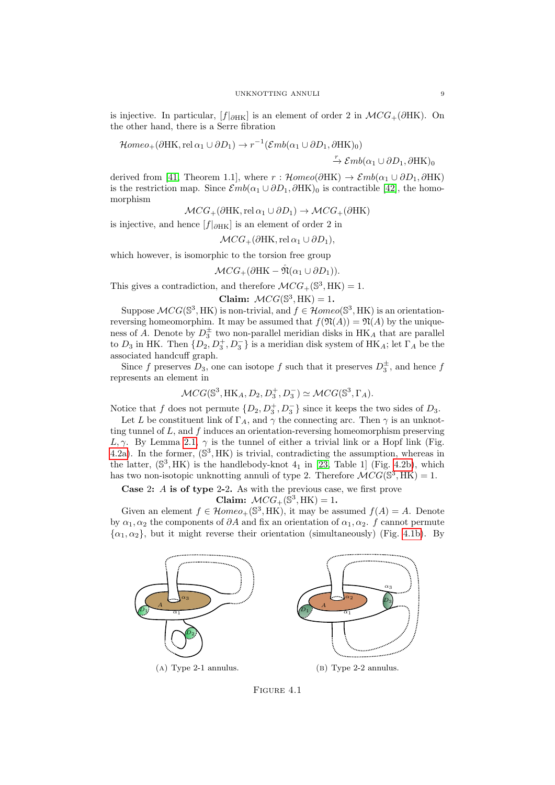is injective. In particular,  $[f]_{\partial HK}]$  is an element of order 2 in  $\mathcal{M}CG_+(\partial HK)$ . On the other hand, there is a Serre fibration

$$
\mathcal{H}omeo_{+}(\partial HK, rel\,\alpha_1 \cup \partial D_1) \to r^{-1}(\mathcal{E}mb(\alpha_1 \cup \partial D_1, \partial HK)_0)
$$

 $\stackrel{r}{\rightarrow} \mathcal{E}mb(\alpha_1 \cup \partial D_1, \partial \mathcal{H} \mathcal{K})_0$ 

derived from [\[41,](#page-11-17) Theorem 1.1], where  $r : \mathcal{H}omeo(\partial \mathcal{H} \mathcal{K}) \to \mathcal{E}mb(\alpha_1 \cup \partial D_1, \partial \mathcal{H} \mathcal{K})$ is the restriction map. Since  $\mathcal{E}mb(\alpha_1 \cup \partial D_1, \partial HK)_0$  is contractible [\[42\]](#page-11-18), the homomorphism

$$
\mathcal{M}CG_+(\partial\mathrm{HK}, \mathrm{rel}\,\alpha_1\cup\partial D_1)\to \mathcal{M}CG_+(\partial\mathrm{HK})
$$

is injective, and hence  $[f]_{\partial H\mathbf{K}}$  is an element of order 2 in

$$
\mathcal{M}CG_+(\partial\mathrm{HK}, \mathrm{rel}\,\alpha_1\cup\partial D_1),
$$

which however, is isomorphic to the torsion free group

$$
\mathcal{M}CG_+(\partial\mathrm{HK}-\mathring{\mathfrak{N}}(\alpha_1\cup\partial D_1)).
$$

This gives a contradiction, and therefore  $\mathcal{M}CG_+(\mathbb{S}^3, \mathrm{HK}) = 1$ .

Claim:  $\mathcal{M}CG(\mathbb{S}^3, \text{HK}) = 1$ .

Suppose  $MCG(\mathbb{S}^3, HK)$  is non-trivial, and  $f \in \mathcal{H}omeo(\mathbb{S}^3, HK)$  is an orientationreversing homeomorphim. It may be assumed that  $f(\mathfrak{N}(A)) = \mathfrak{N}(A)$  by the uniqueness of A. Denote by  $D_3^{\pm}$  two non-parallel meridian disks in  $H K_A$  that are parallel to  $D_3$  in HK. Then  $\{D_2, D_3^+, D_3^-\}$  is a meridian disk system of HK<sub>A</sub>; let  $\Gamma_A$  be the associated handcuff graph.

Since f preserves  $D_3$ , one can isotope f such that it preserves  $D_3^{\pm}$ , and hence f represents an element in

$$
\mathcal{M}CG(\mathbb{S}^3, \mathrm{HK}_A, D_2, D_3^+, D_3^-) \simeq \mathcal{M}CG(\mathbb{S}^3, \Gamma_A).
$$

Notice that f does not permute  $\{D_2, D_3^+, D_3^-\}$  since it keeps the two sides of  $D_3$ .

Let L be constituent link of  $\Gamma_A$ , and  $\gamma$  the connecting arc. Then  $\gamma$  is an unknotting tunnel of  $L$ , and  $f$  induces an orientation-reversing homeomorphism preserving L,  $\gamma$ . By Lemma [2.1,](#page-2-0)  $\gamma$  is the tunnel of either a trivial link or a Hopf link (Fig. [4.2a\)](#page-9-0). In the former,  $(\mathbb{S}^3, HK)$  is trivial, contradicting the assumption, whereas in the latter,  $(\mathbb{S}^3, HK)$  is the handlebody-knot  $4_1$  in [\[23,](#page-11-15) Table 1] (Fig. [4.2b\)](#page-9-0), which has two non-isotopic unknotting annuli of type 2. Therefore  $\widehat{\mathcal{M}CG}(\mathbb{S}^3, \text{HK}) = 1$ .

Case 2: A is of type 2-2. As with the previous case, we first prove

Claim:  $\mathcal{M}CG_+(\mathbb{S}^3, \text{HK}) = 1$ .

Given an element  $f \in \mathcal{H}omeo_+(\mathbb{S}^3, \mathrm{HK})$ , it may be assumed  $f(A) = A$ . Denote by  $\alpha_1, \alpha_2$  the components of  $\partial A$  and fix an orientation of  $\alpha_1, \alpha_2$ . f cannot permute  $\{\alpha_1,\alpha_2\}$ , but it might reverse their orientation (simultaneously) (Fig. [4.1b\)](#page-8-0). By

<span id="page-8-0"></span>

Figure 4.1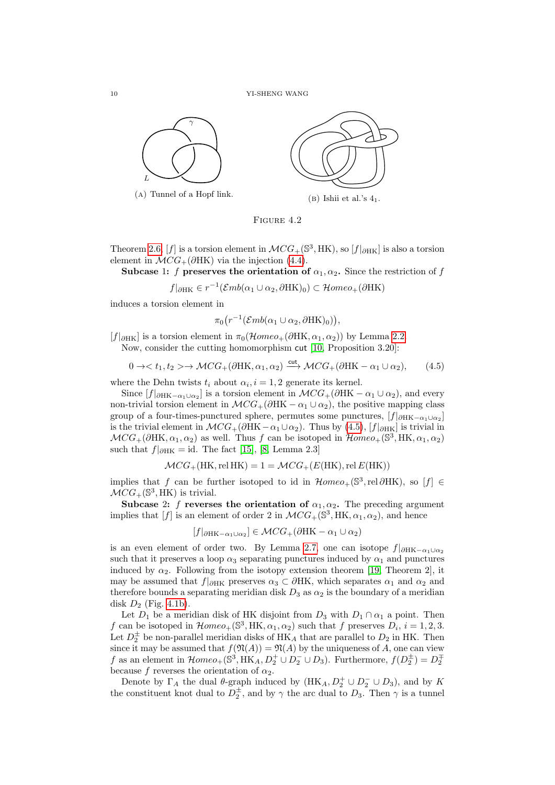

FIGURE 4.2

Theorem [2.6,](#page-3-3) [f] is a torsion element in  $\mathcal{M}CG_+(\mathbb{S}^3, \mathrm{HK})$ , so  $[f|_{\partial\mathrm{HK}}]$  is also a torsion element in  $\mathcal{M}CG_+(\partial HK)$  via the injection [\(4.4\)](#page-7-2).

Subcase 1: f preserves the orientation of  $\alpha_1, \alpha_2$ . Since the restriction of f

 $f|_{\partial \text{HK}} \in r^{-1}(\mathcal{E}mb(\alpha_1 \cup \alpha_2, \partial \text{HK})_0) \subset \mathcal{H}omeo_+(\partial \text{HK})$ 

induces a torsion element in

$$
\pi_0(r^{-1}(\mathcal{E}mb(\alpha_1 \cup \alpha_2, \partial \mathbf{HK})_0)),
$$

 $[f|_{\partial HK}]$  is a torsion element in  $\pi_0(\mathcal{H}omeo_+(\partial HK,\alpha_1,\alpha_2))$  by Lemma [2.2.](#page-2-1)

Now, consider the cutting homomorphism cut [\[10,](#page-10-5) Proposition 3.20]:

<span id="page-9-1"></span>
$$
0 \to  \to \mathcal{M}CG_+(\partial HK, \alpha_1, \alpha_2) \xrightarrow{\text{cut}} \mathcal{M}CG_+(\partial HK - \alpha_1 \cup \alpha_2), \qquad (4.5)
$$

where the Dehn twists  $t_i$  about  $\alpha_i$ ,  $i = 1, 2$  generate its kernel.

Since  $[f|_{\partial HK-\alpha_1\cup\alpha_2}]$  is a torsion element in  $\mathcal{M}CG_+(\partial HK-\alpha_1\cup \alpha_2)$ , and every non-trivial torsion element in  $MCG_{+}(\partial HK - \alpha_1 \cup \alpha_2)$ , the positive mapping class group of a four-times-punctured sphere, permutes some punctures,  $[f]_{\partial H\text{K}-\alpha_1\cup\alpha_2}]$ is the trivial element in  $MCG_+(\partial HK-\alpha_1\cup\alpha_2)$ . Thus by [\(4.5\)](#page-9-1),  $[f|_{\partial HK}]$  is trivial in  $MCG_{+}(\partial \text{HK}, \alpha_1, \alpha_2)$  as well. Thus f can be isotoped in  $\mathcal{H}omeo_{+}(\mathbb{S}^3, \text{HK}, \alpha_1, \alpha_2)$ such that  $f|_{\partial \text{HK}} = \text{id}$ . The fact [\[15\]](#page-11-24), [\[8,](#page-10-4) Lemma 2.3]

$$
\mathcal{M}CG_+(\mathrm{HK}, \mathrm{rel} \, \mathrm{HK}) = 1 = \mathcal{M}CG_+(E(\mathrm{HK}), \mathrm{rel} \, E(\mathrm{HK}))
$$

implies that f can be further isotoped to id in  $\mathcal{H}omeo_+(\mathbb{S}^3,rel\partial HK)$ , so  $[f] \in$  $MCG_{+}(\mathbb{S}^3, \mathrm{HK})$  is trivial.

Subcase 2: f reverses the orientation of  $\alpha_1, \alpha_2$ . The preceding argument implies that [f] is an element of order 2 in  $\mathcal{M}CG_+(\mathbb{S}^3, HK, \alpha_1, \alpha_2)$ , and hence

$$
[f|_{\partial \text{HK}-\alpha_1 \cup \alpha_2}] \in \mathcal{M}CG_+(\partial \text{HK} - \alpha_1 \cup \alpha_2)
$$

is an even element of order two. By Lemma [2.7,](#page-4-4) one can isotope  $f|_{\partial H K-\alpha_1\cup\alpha_2}$ such that it preserves a loop  $\alpha_3$  separating punctures induced by  $\alpha_1$  and punctures induced by  $\alpha_2$ . Following from the isotopy extension theorem [\[19,](#page-11-29) Theorem 2], it may be assumed that  $f|_{\partial HK}$  preserves  $\alpha_3 \subset \partial HK$ , which separates  $\alpha_1$  and  $\alpha_2$  and therefore bounds a separating meridian disk  $D_3$  as  $\alpha_2$  is the boundary of a meridian disk  $D_2$  (Fig. [4.1b\)](#page-8-0).

Let  $D_1$  be a meridian disk of HK disjoint from  $D_3$  with  $D_1 \cap \alpha_1$  a point. Then f can be isotoped in  $\mathcal{H}omeo_+(\mathbb{S}^3, \mathrm{HK}, \alpha_1, \alpha_2)$  such that f preserves  $D_i$ ,  $i = 1, 2, 3$ . Let  $D_2^{\pm}$  be non-parallel meridian disks of HK<sub>A</sub> that are parallel to  $D_2$  in HK. Then since it may be assumed that  $f(\mathfrak{N}(A)) = \mathfrak{N}(A)$  by the uniqueness of A, one can view f as an element in  $\mathcal{H}omeo_+(\mathbb{S}^3, \text{HK}_A, D_2^+\cup D_2^- \cup D_3)$ . Furthermore,  $f(D_2^{\pm})=D_2^{\mp}$ because f reverses the orientation of  $\alpha_2$ .

Denote by  $\Gamma_A$  the dual  $\theta$ -graph induced by  $(HK_A, D_2^+ \cup D_2^- \cup D_3)$ , and by K the constituent knot dual to  $D_2^{\pm}$ , and by  $\gamma$  the arc dual to  $D_3$ . Then  $\gamma$  is a tunnel

<span id="page-9-0"></span>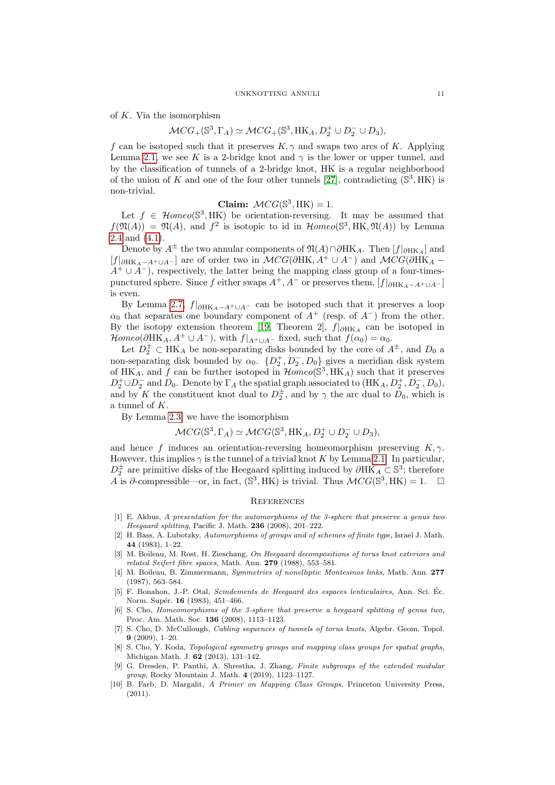of  $K$ . Via the isomorphism

$$
\mathcal{M}CG_+ (\mathbb{S}^3,\Gamma_A)\simeq \mathcal{M}CG_+ (\mathbb{S}^3,\mathrm{HK}_A,D_2^+\cup D_2^-\cup D_3),
$$

f can be isotoped such that it preserves  $K, \gamma$  and swaps two arcs of K. Applying Lemma [2.1,](#page-2-0) we see K is a 2-bridge knot and  $\gamma$  is the lower or upper tunnel, and by the classification of tunnels of a 2-bridge knot, HK is a regular neighborhood of the union of K and one of the four other tunnels [\[27\]](#page-11-30), contradicting  $(S^3, HK)$  is non-trivial.

# Claim:  $\mathcal{M}CG(\mathbb{S}^3, \text{HK}) = 1.$

Let  $f \in \mathcal{H}omeo(\mathbb{S}^3, HK)$  be orientation-reversing. It may be assumed that  $f(\mathfrak{N}(A)) = \mathfrak{N}(A)$ , and  $f^2$  is isotopic to id in  $\mathcal{H}omeo(\mathbb{S}^3, HK, \mathfrak{N}(A))$  by Lemma [2.4](#page-3-4) and [\(4.1\)](#page-7-3).

Denote by  $A^{\pm}$  the two annular components of  $\mathfrak{N}(A)\cap\partial\mathrm{HK}_A$ . Then  $[f]_{\partial\mathrm{HK}_A}$  and  $[f|_{\partial HK_A-A^+\cup A^-}]$  are of order two in  $\mathcal{M}CG(\partial HK, A^+\cup A^-)$  and  $\mathcal{M}CG(\partial HK_A A^+ \cup A^-$ , respectively, the latter being the mapping class group of a four-timespunctured sphere. Since f either swaps  $A^+, A^-$  or preserves them,  $[f|_{\partial HK_A-A^+\cup A^-}]$ is even.

By Lemma [2.7,](#page-4-4)  $f|_{\partial HK_A-A^+\cup A^-}$  can be isotoped such that it preserves a loop  $\alpha_0$  that separates one boundary component of  $A^+$  (resp. of  $A^-$ ) from the other. By the isotopy extension theorem [\[19,](#page-11-29) Theorem 2],  $f|_{\partial HK_A}$  can be isotoped in  $\mathcal{H}omeo(\partial \text{HK}_A, A^+ \cup A^-)$ , with  $f|_{A^+\cup A^-}$  fixed, such that  $f(\alpha_0) = \alpha_0$ .

Let  $D_2^{\pm} \subset HK_A$  be non-separating disks bounded by the core of  $A^{\pm}$ , and  $D_0$  a non-separating disk bounded by  $\alpha_0$ .  $\{D_2^+, D_2^-, D_0\}$  gives a meridian disk system of HK<sub>A</sub>, and f can be further isotoped in  $\mathcal{H}omeo(\mathbb{S}^3, \text{HK}_A)$  such that it preserves  $D_2^+\cup D_2^-$  and  $D_0$ . Denote by  $\Gamma_A$  the spatial graph associated to  $(HK_A, D_2^+, D_2^-, D_0)$ , and by K the constituent knot dual to  $D_2^{\pm}$ , and by  $\gamma$  the arc dual to  $D_0$ , which is a tunnel of K.

By Lemma [2.3,](#page-3-6) we have the isomorphism

$$
\mathcal{M}CG(\mathbb{S}^3, \Gamma_A) \simeq \mathcal{M}CG(\mathbb{S}^3, \text{HK}_A, D_2^+ \cup D_2^- \cup D_3),
$$

and hence f induces an orientation-reversing homeomorphism preserving  $K, \gamma$ . However, this implies  $\gamma$  is the tunnel of a trivial knot K by Lemma [2.1.](#page-2-0) In particular,  $D_2^{\pm}$  are primitive disks of the Heegaard splitting induced by  $\partial \text{HK}_A \subset \mathbb{S}^3$ ; therefore  $\overline{A}$  is  $\partial$ -compressible—or, in fact, (S<sup>3</sup>, HK) is trivial. Thus  $\mathcal{M}CG(\mathbb{S}^3, \text{HK}) = 1.$  □

### **REFERENCES**

- <span id="page-10-1"></span>[1] E. Akbus, A presentation for the automorphisms of the 3-sphere that preserve a genus two Heegaard splitting, Pacific J. Math. 236 (2008), 201–222.
- <span id="page-10-6"></span>[2] H. Bass, A. Lubotzky, Automorphisms of groups and of schemes of finite type, Israel J. Math. 44 (1983), 1–22.
- <span id="page-10-9"></span>[3] M. Boileau, M. Rost, H. Zieschang, On Heegaard decompositions of torus knot exteriors and related Seifert fibre spaces, Math. Ann. 279 (1988), 553–581.
- <span id="page-10-0"></span>[4] M. Boileau, B. Zimmermann, Symmetries of nonelliptic Montesinos links, Math. Ann. 277 (1987), 563–584.
- <span id="page-10-8"></span>[5] F. Bonahon, J.-P. Otal, Scindements de Heegaard des espaces lenticulaires, Ann. Sci. Ec. ´ Norm. Supér. **16** (1983), 451-466.
- <span id="page-10-2"></span>[6] S. Cho, Homeomorphisms of the 3-sphere that preserve a heegaard splitting of genus two, Proc. Am. Math. Soc. 136 (2008), 1113–1123.
- <span id="page-10-3"></span>[7] S. Cho, D. McCullough, Cabling sequences of tunnels of torus knots, Algebr. Geom. Topol. 9 (2009), 1–20.
- <span id="page-10-4"></span>[8] S. Cho, Y. Koda, Topological symmetry groups and mapping class groups for spatial graphs, Michigan Math. J. 62 (2013), 131–142.
- <span id="page-10-7"></span>[9] G. Dresden, P. Panthi, A. Shrestha, J. Zhang, Finite subgroups of the extended modular group, Rocky Mountain J. Math. 4 (2019), 1123–1127.
- <span id="page-10-5"></span>[10] B. Farb, D. Margalit, A Primer on Mapping Class Groups, Princeton University Press,  $(2011).$